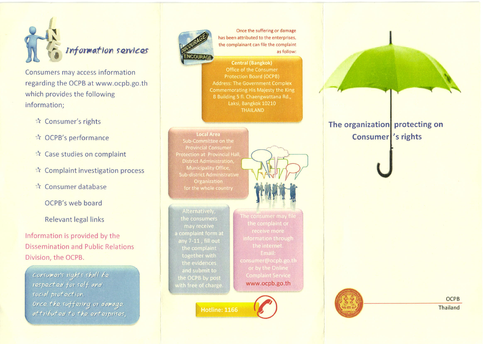

Consumers may access information regarding the OCPB at www.ocpb.go.th which provides the following information;

- ☆ Consumer's rights
- ☆ OCPB's performance
- ☆ Case studies on complaint
- $\star$  Complaint investigation process
- ☆ Consumer database

OCPB's web board

## **Relevant legal links**

Information is provided by the **Dissemination and Public Relations** Division, the OCPB.

Consumer's rights shall be respected for self and social protection. Once the suffering or damage attributed to the enterprises.



Once the suffering or damage has been attributed to the enterprises, the complainant can file the complaint as follow:

**Central (Bangkok)** Office of the Consumer **Protection Board (OCPB) Address: The Government Complex** Commemorating His Majesty the King B Building 5 fl. Chaengwattana Rd., Laksi, Bangkok 10210 **THAILAND** 

### **Local Area** Sub-Committee on the **Provincial Consumer Protection at Provincial Hall District Administration.** Municipality Office, Sub-district Administrative

Alternatively, the consumers a complaint form at together with the OCPB by post with free of charge

Hotline: 1166



the complaint or consumer@ocpb.go.th or by the Online www.ocpb.go.th



The organization protecting on

Consumer 's rights